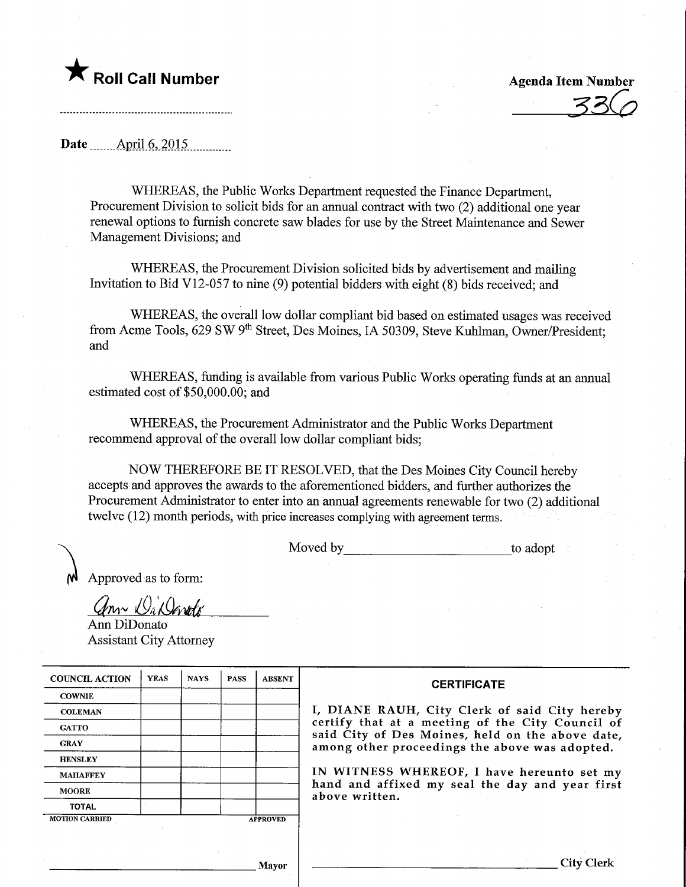

Date ........Apnl.6,.2015,

WHEREAS, the Public Works Department requested the Finance Department, Procurement Division to solicit bids for an annual contract with two (2) additional one year renewal options to furnish concrete saw blades for use by the Street Maintenance and Sewer Management Divisions; and

WHEREAS, the Procurement Division solicited bids by advertisement and mailing Invitation to Bid V12-057 to nine (9) potential bidders with eight (8) bids received; and

WHEREAS, the overall low dollar compliant bid based on estimated usages was received from Acme Tools, 629 SW 9<sup>th</sup> Street, Des Moines, IA 50309, Steve Kuhlman, Owner/President; and

WHEREAS, funding is available from various Public Works operating funds at an annual estimated cost of \$50,000.00; and

WHEREAS, the Procurement Administrator and the Public Works Department recommend approval of the overall low dollar compliant bids;

NOW THEREFORE BE IT RESOLVED, that the Des Moines City Council hereby accepts and approves the awards to the aforementioned bidders, and further authorizes the Procurement Administrator to enter into an annual agreements renewable for two (2) additional twelve (12) month periods, with price increases complying with agreement terms.

Moved by to adopt

Approved as to form:

Ann Di Dinote

Ann DiDonato Assistant City Attorney

| <b>COUNCIL ACTION</b> | <b>YEAS</b> | <b>NAYS</b> | <b>PASS</b> | <b>ABSENT</b>   | <b>CERTIFICATE</b>                                                                                   |
|-----------------------|-------------|-------------|-------------|-----------------|------------------------------------------------------------------------------------------------------|
| <b>COWNIE</b>         |             |             |             |                 |                                                                                                      |
| <b>COLEMAN</b>        |             |             |             |                 | I, DIANE RAUH, City Clerk of said City hereby                                                        |
| <b>GATTO</b>          |             |             |             |                 | certify that at a meeting of the City Council of<br>said City of Des Moines, held on the above date, |
| <b>GRAY</b>           |             |             |             |                 | among other proceedings the above was adopted.                                                       |
| <b>HENSLEY</b>        |             |             |             |                 |                                                                                                      |
| <b>MAHAFFEY</b>       |             |             |             |                 | IN WITNESS WHEREOF, I have hereunto set my                                                           |
| <b>MOORE</b>          |             |             |             |                 | hand and affixed my seal the day and year first<br>above written.                                    |
| <b>TOTAL</b>          |             |             |             |                 |                                                                                                      |
| <b>MOTION CARRIED</b> |             |             |             | <b>APPROVED</b> |                                                                                                      |
|                       |             |             |             |                 |                                                                                                      |
|                       |             |             |             | Mayor           |                                                                                                      |

Mayor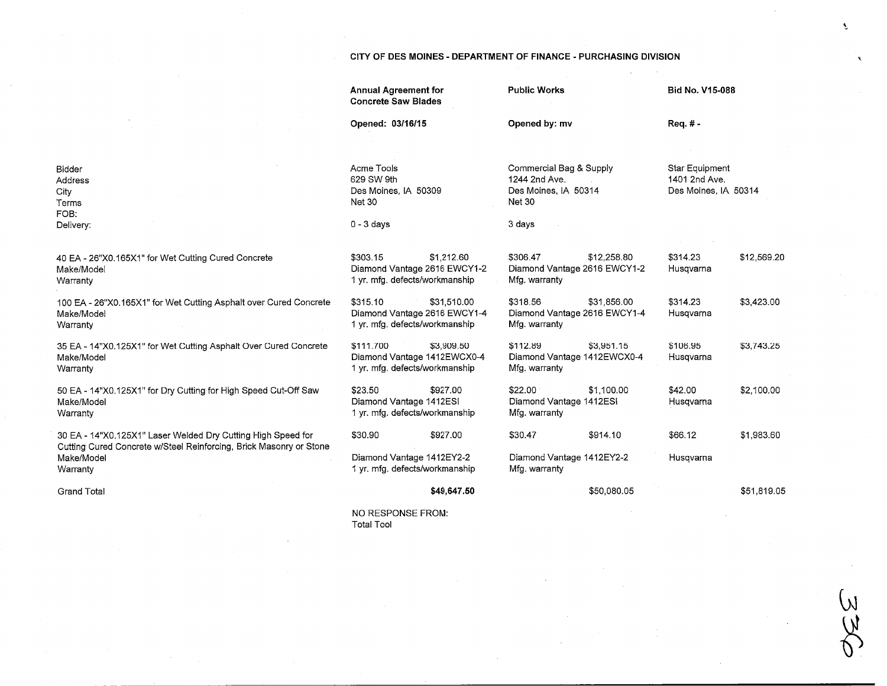## CITY OF DES M01NES - DEPARTMENT OF FINANCE - PURCHASING DIVISION

 $\sim$ 

 $\hat{\mathbf{r}}$ 

.<br>W<br>W

|                                                                                              | <b>Annual Agreement for</b><br><b>Concrete Saw Blades</b>                         |             | <b>Public Works</b>                                                                                          |             | Bid No. V15-088                                                            |             |
|----------------------------------------------------------------------------------------------|-----------------------------------------------------------------------------------|-------------|--------------------------------------------------------------------------------------------------------------|-------------|----------------------------------------------------------------------------|-------------|
|                                                                                              | Opened: 03/16/15                                                                  |             | Opened by: mv<br>Commercial Bag & Supply<br>1244 2nd Ave.<br>Des Moines, IA 50314<br><b>Net 30</b><br>3 days |             | Req. # -<br><b>Star Equipment</b><br>1401 2nd Ave.<br>Des Moines, IA 50314 |             |
| Bidder<br>Address<br>City<br>Terms<br>FOB:                                                   | Acme Tools<br>629 SW 9th<br>Des Moines, IA 50309<br><b>Net 30</b><br>$0 - 3$ days |             |                                                                                                              |             |                                                                            |             |
| Delivery:                                                                                    |                                                                                   |             |                                                                                                              |             |                                                                            |             |
| 40 EA - 26"X0.165X1" for Wet Cutting Cured Concrete<br>Make/Model<br>Warranty                | \$303.15<br>Diamond Vantage 2616 EWCY1-2<br>1 yr. mfg. defects/workmanship        | \$1,212.60  | \$306.47<br>Diamond Vantage 2616 EWCY1-2<br>Mfg. warranty                                                    | \$12,258.80 | \$314.23<br>Husqvarna                                                      | \$12,569.20 |
| 100 EA - 26"X0.165X1" for Wet Cutting Asphalt over Cured Concrete<br>Make/Model<br>Warranty  | \$315.10<br>Diamond Vantage 2616 EWCY1-4<br>1 yr. mfg. defects/workmanship        | \$31,510.00 | \$318.56<br>Diamond Vantage 2616 EWCY1-4<br>Mfg. warranty                                                    | \$31,856.00 | \$314.23<br>Husqvarna                                                      | \$3,423.00  |
| 35 EA - 14"X0.125X1" for Wet Cutting Asphalt Over Cured Concrete<br>Make/Model<br>Warranty   | \$111.700<br>Diamond Vantage 1412EWCX0-4<br>1 yr. mfg. defects/workmanship        | \$3,909.50  | \$112.89<br>Diamond Vantage 1412EWCX0-4<br>Mfg. warranty                                                     | \$3,951.15  | \$106.95<br>Husqvarna                                                      | \$3,743.25  |
| 50 EA - 14"X0.125X1" for Dry Cutting for High Speed Cut-Off Saw<br>Make/Model<br>Warranty    | \$23.50<br>Diamond Vantage 1412ESI<br>1 yr. mfg. defects/workmanship              | \$927.00    | \$22.00<br>Diamond Vantage 1412ESI<br>Mfg. warranty                                                          | \$1.100.00  | \$42.00<br>Husqvarna                                                       | \$2,100.00  |
| 30 EA - 14"X0.125X1" Laser Welded Dry Cutting High Speed for                                 | \$30.90                                                                           | \$927.00    | \$30.47                                                                                                      | \$914.10    | \$66.12                                                                    | \$1,983.60  |
| Cutting Cured Concrete w/Steel Reinforcing, Brick Masonry or Stone<br>Make/Model<br>Warranty | Diamond Vantage 1412EY2-2<br>1 yr. mfg. defects/workmanship                       |             | Diamond Vantage 1412EY2-2<br>Mfg. warranty                                                                   |             | Husqvarna                                                                  |             |
| <b>Grand Total</b>                                                                           |                                                                                   | \$49,647.50 |                                                                                                              | \$50,080.05 |                                                                            | \$51,819.05 |
|                                                                                              | NO RESPONSE FROM:<br><b>Total Tool</b>                                            |             |                                                                                                              |             |                                                                            |             |